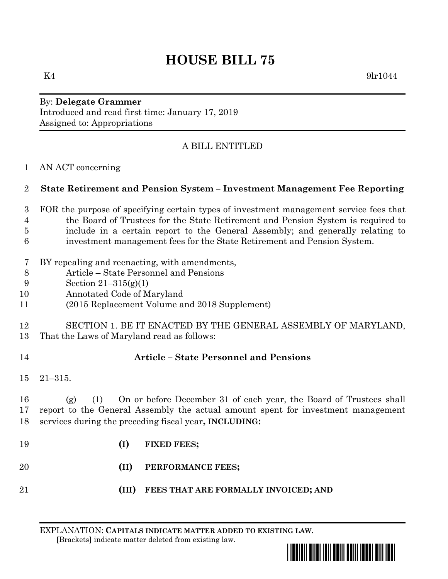# **HOUSE BILL 75**

 $K4$  9lr1044

By: **Delegate Grammer** Introduced and read first time: January 17, 2019 Assigned to: Appropriations

# A BILL ENTITLED

AN ACT concerning

## **State Retirement and Pension System – Investment Management Fee Reporting**

- FOR the purpose of specifying certain types of investment management service fees that the Board of Trustees for the State Retirement and Pension System is required to include in a certain report to the General Assembly; and generally relating to investment management fees for the State Retirement and Pension System.
- BY repealing and reenacting, with amendments,
- Article State Personnel and Pensions
- Section 21–315(g)(1)
- Annotated Code of Maryland
- (2015 Replacement Volume and 2018 Supplement)

#### SECTION 1. BE IT ENACTED BY THE GENERAL ASSEMBLY OF MARYLAND, That the Laws of Maryland read as follows:

# **Article – State Personnel and Pensions**

21–315.

 (g) (1) On or before December 31 of each year, the Board of Trustees shall report to the General Assembly the actual amount spent for investment management services during the preceding fiscal year**, INCLUDING:**

- **(I) FIXED FEES;**
- **(II) PERFORMANCE FEES;**
- **(III) FEES THAT ARE FORMALLY INVOICED; AND**

EXPLANATION: **CAPITALS INDICATE MATTER ADDED TO EXISTING LAW**.  **[**Brackets**]** indicate matter deleted from existing law.